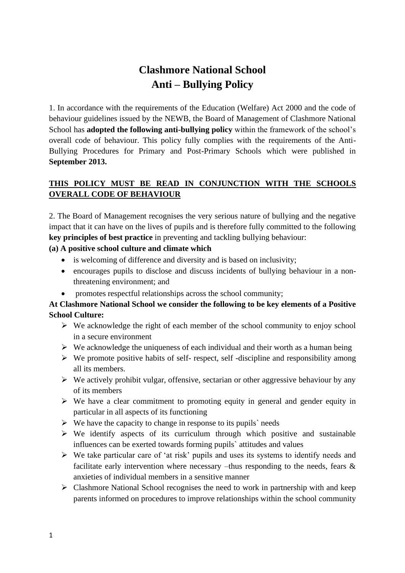# **Clashmore National School Anti – Bullying Policy**

1. In accordance with the requirements of the Education (Welfare) Act 2000 and the code of behaviour guidelines issued by the NEWB, the Board of Management of Clashmore National School has **adopted the following anti-bullying policy** within the framework of the school's overall code of behaviour. This policy fully complies with the requirements of the Anti-Bullying Procedures for Primary and Post-Primary Schools which were published in **September 2013.**

# **THIS POLICY MUST BE READ IN CONJUNCTION WITH THE SCHOOLS OVERALL CODE OF BEHAVIOUR**

2. The Board of Management recognises the very serious nature of bullying and the negative impact that it can have on the lives of pupils and is therefore fully committed to the following **key principles of best practice** in preventing and tackling bullying behaviour:

# **(a) A positive school culture and climate which**

- is welcoming of difference and diversity and is based on inclusivity;
- encourages pupils to disclose and discuss incidents of bullying behaviour in a nonthreatening environment; and
- promotes respectful relationships across the school community;

# **At Clashmore National School we consider the following to be key elements of a Positive School Culture:**

- $\triangleright$  We acknowledge the right of each member of the school community to enjoy school in a secure environment
- $\triangleright$  We acknowledge the uniqueness of each individual and their worth as a human being
- $\triangleright$  We promote positive habits of self- respect, self-discipline and responsibility among all its members.
- $\triangleright$  We actively prohibit vulgar, offensive, sectarian or other aggressive behaviour by any of its members
- ➢ We have a clear commitment to promoting equity in general and gender equity in particular in all aspects of its functioning
- $\triangleright$  We have the capacity to change in response to its pupils needs
- $\triangleright$  We identify aspects of its curriculum through which positive and sustainable influences can be exerted towards forming pupils` attitudes and values
- ➢ We take particular care of 'at risk' pupils and uses its systems to identify needs and facilitate early intervention where necessary –thus responding to the needs, fears & anxieties of individual members in a sensitive manner
- $\triangleright$  Clashmore National School recognises the need to work in partnership with and keep parents informed on procedures to improve relationships within the school community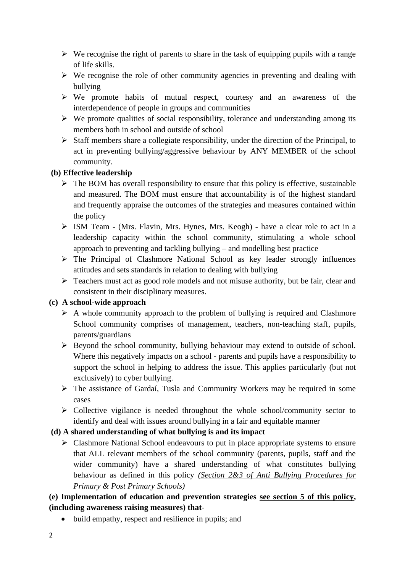- $\triangleright$  We recognise the right of parents to share in the task of equipping pupils with a range of life skills.
- ➢ We recognise the role of other community agencies in preventing and dealing with bullying
- ➢ We promote habits of mutual respect, courtesy and an awareness of the interdependence of people in groups and communities
- $\triangleright$  We promote qualities of social responsibility, tolerance and understanding among its members both in school and outside of school
- ➢ Staff members share a collegiate responsibility, under the direction of the Principal, to act in preventing bullying/aggressive behaviour by ANY MEMBER of the school community.

### **(b) Effective leadership**

- $\triangleright$  The BOM has overall responsibility to ensure that this policy is effective, sustainable and measured. The BOM must ensure that accountability is of the highest standard and frequently appraise the outcomes of the strategies and measures contained within the policy
- ➢ ISM Team (Mrs. Flavin, Mrs. Hynes, Mrs. Keogh) have a clear role to act in a leadership capacity within the school community, stimulating a whole school approach to preventing and tackling bullying – and modelling best practice
- ➢ The Principal of Clashmore National School as key leader strongly influences attitudes and sets standards in relation to dealing with bullying
- ➢ Teachers must act as good role models and not misuse authority, but be fair, clear and consistent in their disciplinary measures.

# **(c) A school-wide approach**

- $\triangleright$  A whole community approach to the problem of bullying is required and Clashmore School community comprises of management, teachers, non-teaching staff, pupils, parents/guardians
- ➢ Beyond the school community, bullying behaviour may extend to outside of school. Where this negatively impacts on a school - parents and pupils have a responsibility to support the school in helping to address the issue. This applies particularly (but not exclusively) to cyber bullying.
- ➢ The assistance of Gardaí, Tusla and Community Workers may be required in some cases
- ➢ Collective vigilance is needed throughout the whole school/community sector to identify and deal with issues around bullying in a fair and equitable manner

# **(d) A shared understanding of what bullying is and its impact**

➢ Clashmore National School endeavours to put in place appropriate systems to ensure that ALL relevant members of the school community (parents, pupils, staff and the wider community) have a shared understanding of what constitutes bullying behaviour as defined in this policy *(Section 2&3 of Anti Bullying Procedures for Primary & Post Primary Schools)*

# **(e) Implementation of education and prevention strategies see section 5 of this policy, (including awareness raising measures) that**-

• build empathy, respect and resilience in pupils; and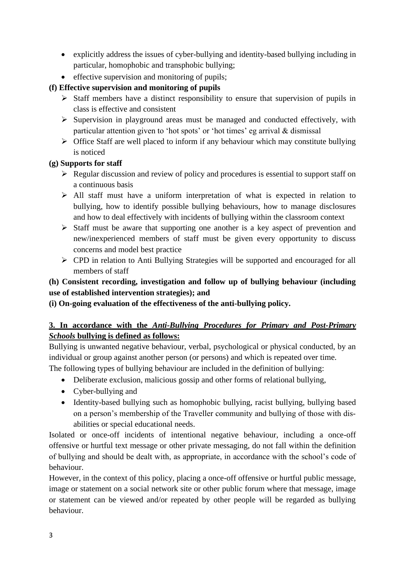- explicitly address the issues of cyber-bullying and identity-based bullying including in particular, homophobic and transphobic bullying;
- effective supervision and monitoring of pupils;

# **(f) Effective supervision and monitoring of pupils**

- $\triangleright$  Staff members have a distinct responsibility to ensure that supervision of pupils in class is effective and consistent
- ➢ Supervision in playground areas must be managed and conducted effectively, with particular attention given to 'hot spots' or 'hot times' eg arrival & dismissal
- $\triangleright$  Office Staff are well placed to inform if any behaviour which may constitute bullying is noticed

# **(g) Supports for staff**

- ➢ Regular discussion and review of policy and procedures is essential to support staff on a continuous basis
- ➢ All staff must have a uniform interpretation of what is expected in relation to bullying, how to identify possible bullying behaviours, how to manage disclosures and how to deal effectively with incidents of bullying within the classroom context
- ➢ Staff must be aware that supporting one another is a key aspect of prevention and new/inexperienced members of staff must be given every opportunity to discuss concerns and model best practice
- ➢ CPD in relation to Anti Bullying Strategies will be supported and encouraged for all members of staff

# **(h) Consistent recording, investigation and follow up of bullying behaviour (including use of established intervention strategies); and**

**(i) On-going evaluation of the effectiveness of the anti-bullying policy.**

# **3. In accordance with the** *Anti-Bullying Procedures for Primary and Post-Primary Schools* **bullying is defined as follows:**

Bullying is unwanted negative behaviour, verbal, psychological or physical conducted, by an individual or group against another person (or persons) and which is repeated over time. The following types of bullying behaviour are included in the definition of bullying:

- Deliberate exclusion, malicious gossip and other forms of relational bullying,
- Cyber-bullying and
- Identity-based bullying such as homophobic bullying, racist bullying, bullying based on a person's membership of the Traveller community and bullying of those with disabilities or special educational needs.

Isolated or once-off incidents of intentional negative behaviour, including a once-off offensive or hurtful text message or other private messaging, do not fall within the definition of bullying and should be dealt with, as appropriate, in accordance with the school's code of behaviour.

However, in the context of this policy, placing a once-off offensive or hurtful public message, image or statement on a social network site or other public forum where that message, image or statement can be viewed and/or repeated by other people will be regarded as bullying behaviour.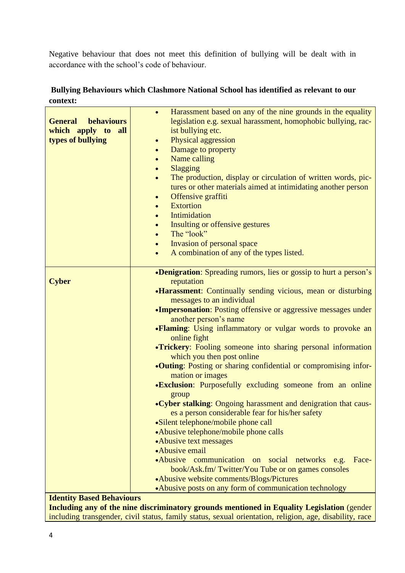Negative behaviour that does not meet this definition of bullying will be dealt with in accordance with the school's code of behaviour.

# **Bullying Behaviours which Clashmore National School has identified as relevant to our context:**

| Harassment based on any of the nine grounds in the equality<br>$\bullet$<br>legislation e.g. sexual harassment, homophobic bullying, rac-<br><b>General</b><br><b>behaviours</b><br>which apply to<br>ist bullying etc.<br>all<br>Physical aggression<br>types of bullying<br>$\bullet$<br>Damage to property<br>$\bullet$<br>Name calling<br>$\bullet$<br>Slagging<br>The production, display or circulation of written words, pic-<br>$\bullet$<br>tures or other materials aimed at intimidating another person<br>Offensive graffiti<br>$\bullet$<br><b>Extortion</b><br>$\bullet$<br>Intimidation<br>$\bullet$<br>Insulting or offensive gestures<br>The "look"<br>Invasion of personal space<br>$\bullet$<br>A combination of any of the types listed.<br>$\bullet$<br>•Denigration: Spreading rumors, lies or gossip to hurt a person's<br><b>Cyber</b><br>reputation<br>•Harassment: Continually sending vicious, mean or disturbing<br>messages to an individual<br>•Impersonation: Posting offensive or aggressive messages under<br>another person's name<br>•Flaming: Using inflammatory or vulgar words to provoke an<br>online fight<br>•Trickery: Fooling someone into sharing personal information<br>which you then post online<br>•Outing: Posting or sharing confidential or compromising infor-<br>mation or images<br><b>.Exclusion:</b> Purposefully excluding someone from an online<br>group<br>• Cyber stalking: Ongoing harassment and denigration that caus-<br>es a person considerable fear for his/her safety<br>•Silent telephone/mobile phone call<br>•Abusive telephone/mobile phone calls<br>•Abusive text messages<br>• Abusive email<br>•Abusive communication on<br>social networks e.g.<br>Face-<br>book/Ask.fm/Twitter/You Tube or on games consoles<br>•Abusive website comments/Blogs/Pictures<br>• Abusive posts on any form of communication technology<br><b>Identity Based Behaviours</b> |  |
|----------------------------------------------------------------------------------------------------------------------------------------------------------------------------------------------------------------------------------------------------------------------------------------------------------------------------------------------------------------------------------------------------------------------------------------------------------------------------------------------------------------------------------------------------------------------------------------------------------------------------------------------------------------------------------------------------------------------------------------------------------------------------------------------------------------------------------------------------------------------------------------------------------------------------------------------------------------------------------------------------------------------------------------------------------------------------------------------------------------------------------------------------------------------------------------------------------------------------------------------------------------------------------------------------------------------------------------------------------------------------------------------------------------------------------------------------------------------------------------------------------------------------------------------------------------------------------------------------------------------------------------------------------------------------------------------------------------------------------------------------------------------------------------------------------------------------------------------------------------------------------------------------------------------------------------|--|
|                                                                                                                                                                                                                                                                                                                                                                                                                                                                                                                                                                                                                                                                                                                                                                                                                                                                                                                                                                                                                                                                                                                                                                                                                                                                                                                                                                                                                                                                                                                                                                                                                                                                                                                                                                                                                                                                                                                                        |  |
|                                                                                                                                                                                                                                                                                                                                                                                                                                                                                                                                                                                                                                                                                                                                                                                                                                                                                                                                                                                                                                                                                                                                                                                                                                                                                                                                                                                                                                                                                                                                                                                                                                                                                                                                                                                                                                                                                                                                        |  |
|                                                                                                                                                                                                                                                                                                                                                                                                                                                                                                                                                                                                                                                                                                                                                                                                                                                                                                                                                                                                                                                                                                                                                                                                                                                                                                                                                                                                                                                                                                                                                                                                                                                                                                                                                                                                                                                                                                                                        |  |
|                                                                                                                                                                                                                                                                                                                                                                                                                                                                                                                                                                                                                                                                                                                                                                                                                                                                                                                                                                                                                                                                                                                                                                                                                                                                                                                                                                                                                                                                                                                                                                                                                                                                                                                                                                                                                                                                                                                                        |  |
|                                                                                                                                                                                                                                                                                                                                                                                                                                                                                                                                                                                                                                                                                                                                                                                                                                                                                                                                                                                                                                                                                                                                                                                                                                                                                                                                                                                                                                                                                                                                                                                                                                                                                                                                                                                                                                                                                                                                        |  |
|                                                                                                                                                                                                                                                                                                                                                                                                                                                                                                                                                                                                                                                                                                                                                                                                                                                                                                                                                                                                                                                                                                                                                                                                                                                                                                                                                                                                                                                                                                                                                                                                                                                                                                                                                                                                                                                                                                                                        |  |
|                                                                                                                                                                                                                                                                                                                                                                                                                                                                                                                                                                                                                                                                                                                                                                                                                                                                                                                                                                                                                                                                                                                                                                                                                                                                                                                                                                                                                                                                                                                                                                                                                                                                                                                                                                                                                                                                                                                                        |  |
|                                                                                                                                                                                                                                                                                                                                                                                                                                                                                                                                                                                                                                                                                                                                                                                                                                                                                                                                                                                                                                                                                                                                                                                                                                                                                                                                                                                                                                                                                                                                                                                                                                                                                                                                                                                                                                                                                                                                        |  |
|                                                                                                                                                                                                                                                                                                                                                                                                                                                                                                                                                                                                                                                                                                                                                                                                                                                                                                                                                                                                                                                                                                                                                                                                                                                                                                                                                                                                                                                                                                                                                                                                                                                                                                                                                                                                                                                                                                                                        |  |
|                                                                                                                                                                                                                                                                                                                                                                                                                                                                                                                                                                                                                                                                                                                                                                                                                                                                                                                                                                                                                                                                                                                                                                                                                                                                                                                                                                                                                                                                                                                                                                                                                                                                                                                                                                                                                                                                                                                                        |  |
|                                                                                                                                                                                                                                                                                                                                                                                                                                                                                                                                                                                                                                                                                                                                                                                                                                                                                                                                                                                                                                                                                                                                                                                                                                                                                                                                                                                                                                                                                                                                                                                                                                                                                                                                                                                                                                                                                                                                        |  |
|                                                                                                                                                                                                                                                                                                                                                                                                                                                                                                                                                                                                                                                                                                                                                                                                                                                                                                                                                                                                                                                                                                                                                                                                                                                                                                                                                                                                                                                                                                                                                                                                                                                                                                                                                                                                                                                                                                                                        |  |
|                                                                                                                                                                                                                                                                                                                                                                                                                                                                                                                                                                                                                                                                                                                                                                                                                                                                                                                                                                                                                                                                                                                                                                                                                                                                                                                                                                                                                                                                                                                                                                                                                                                                                                                                                                                                                                                                                                                                        |  |
|                                                                                                                                                                                                                                                                                                                                                                                                                                                                                                                                                                                                                                                                                                                                                                                                                                                                                                                                                                                                                                                                                                                                                                                                                                                                                                                                                                                                                                                                                                                                                                                                                                                                                                                                                                                                                                                                                                                                        |  |
|                                                                                                                                                                                                                                                                                                                                                                                                                                                                                                                                                                                                                                                                                                                                                                                                                                                                                                                                                                                                                                                                                                                                                                                                                                                                                                                                                                                                                                                                                                                                                                                                                                                                                                                                                                                                                                                                                                                                        |  |
|                                                                                                                                                                                                                                                                                                                                                                                                                                                                                                                                                                                                                                                                                                                                                                                                                                                                                                                                                                                                                                                                                                                                                                                                                                                                                                                                                                                                                                                                                                                                                                                                                                                                                                                                                                                                                                                                                                                                        |  |
|                                                                                                                                                                                                                                                                                                                                                                                                                                                                                                                                                                                                                                                                                                                                                                                                                                                                                                                                                                                                                                                                                                                                                                                                                                                                                                                                                                                                                                                                                                                                                                                                                                                                                                                                                                                                                                                                                                                                        |  |
|                                                                                                                                                                                                                                                                                                                                                                                                                                                                                                                                                                                                                                                                                                                                                                                                                                                                                                                                                                                                                                                                                                                                                                                                                                                                                                                                                                                                                                                                                                                                                                                                                                                                                                                                                                                                                                                                                                                                        |  |
|                                                                                                                                                                                                                                                                                                                                                                                                                                                                                                                                                                                                                                                                                                                                                                                                                                                                                                                                                                                                                                                                                                                                                                                                                                                                                                                                                                                                                                                                                                                                                                                                                                                                                                                                                                                                                                                                                                                                        |  |
|                                                                                                                                                                                                                                                                                                                                                                                                                                                                                                                                                                                                                                                                                                                                                                                                                                                                                                                                                                                                                                                                                                                                                                                                                                                                                                                                                                                                                                                                                                                                                                                                                                                                                                                                                                                                                                                                                                                                        |  |
|                                                                                                                                                                                                                                                                                                                                                                                                                                                                                                                                                                                                                                                                                                                                                                                                                                                                                                                                                                                                                                                                                                                                                                                                                                                                                                                                                                                                                                                                                                                                                                                                                                                                                                                                                                                                                                                                                                                                        |  |

**Including any of the nine discriminatory grounds mentioned in Equality Legislation** (gender  $\vert$ including transgender, civil status, family status, sexual orientation, religion, age, disability, race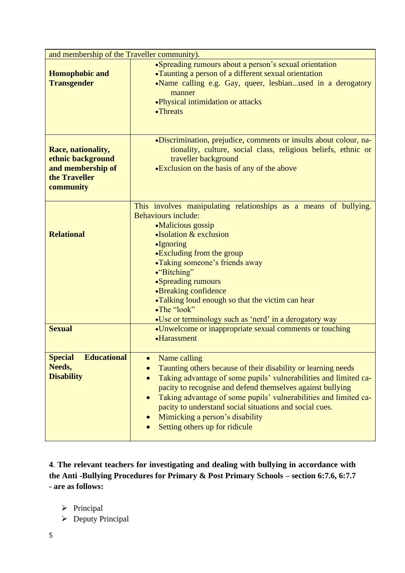| and membership of the Traveller community).                                                |                                                                                                                                                                                                                                                                                                                                                                                                                                                            |  |
|--------------------------------------------------------------------------------------------|------------------------------------------------------------------------------------------------------------------------------------------------------------------------------------------------------------------------------------------------------------------------------------------------------------------------------------------------------------------------------------------------------------------------------------------------------------|--|
| <b>Homophobic and</b><br><b>Transgender</b>                                                | • Spreading rumours about a person's sexual orientation<br>•Taunting a person of a different sexual orientation<br>•Name calling e.g. Gay, queer, lesbianused in a derogatory<br>manner<br>• Physical intimidation or attacks<br>•Threats                                                                                                                                                                                                                  |  |
| Race, nationality,<br>ethnic background<br>and membership of<br>the Traveller<br>community | •Discrimination, prejudice, comments or insults about colour, na-<br>tionality, culture, social class, religious beliefs, ethnic or<br>traveller background<br>•Exclusion on the basis of any of the above                                                                                                                                                                                                                                                 |  |
| <b>Relational</b>                                                                          | This involves manipulating relationships as a means of bullying.<br>Behaviours include:<br>•Malicious gossip<br>$\bullet$ Isolation & exclusion<br>•Ignoring<br>•Excluding from the group<br>•Taking someone's friends away<br>•"Bitching"<br>•Spreading rumours<br>•Breaking confidence<br>•Talking loud enough so that the victim can hear<br>•The "look"<br>•Use or terminology such as 'nerd' in a derogatory way                                      |  |
| <b>Sexual</b>                                                                              | •Unwelcome or inappropriate sexual comments or touching<br>•Harassment                                                                                                                                                                                                                                                                                                                                                                                     |  |
| <b>Educational</b><br><b>Special</b><br>Needs,<br><b>Disability</b>                        | Name calling<br>$\bullet$<br>Taunting others because of their disability or learning needs<br>Taking advantage of some pupils' vulnerabilities and limited ca-<br>$\bullet$<br>pacity to recognise and defend themselves against bullying<br>Taking advantage of some pupils' vulnerabilities and limited ca-<br>$\bullet$<br>pacity to understand social situations and social cues.<br>Mimicking a person's disability<br>Setting others up for ridicule |  |

**4**. **The relevant teachers for investigating and dealing with bullying in accordance with the Anti -Bullying Procedures for Primary & Post Primary Schools – section 6:7.6, 6:7.7 - are as follows:** 

➢ Principal

➢ Deputy Principal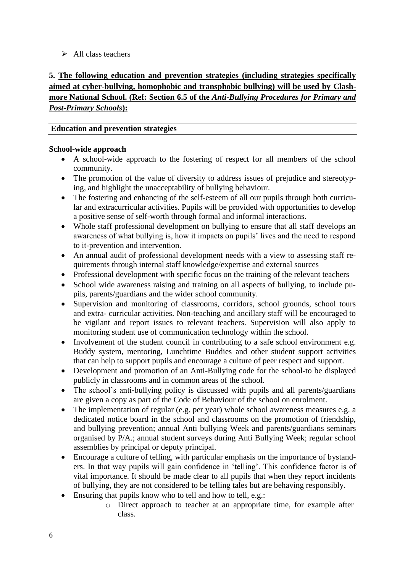### $\triangleright$  All class teachers

# **5. The following education and prevention strategies (including strategies specifically aimed at cyber-bullying, homophobic and transphobic bullying) will be used by Clashmore National School. (Ref: Section 6.5 of the** *Anti-Bullying Procedures for Primary and Post-Primary Schools***):**

#### **Education and prevention strategies**

#### **School-wide approach**

- A school-wide approach to the fostering of respect for all members of the school community.
- The promotion of the value of diversity to address issues of prejudice and stereotyping, and highlight the unacceptability of bullying behaviour.
- The fostering and enhancing of the self-esteem of all our pupils through both curricular and extracurricular activities. Pupils will be provided with opportunities to develop a positive sense of self-worth through formal and informal interactions.
- Whole staff professional development on bullying to ensure that all staff develops an awareness of what bullying is, how it impacts on pupils' lives and the need to respond to it-prevention and intervention.
- An annual audit of professional development needs with a view to assessing staff requirements through internal staff knowledge/expertise and external sources
- Professional development with specific focus on the training of the relevant teachers
- School wide awareness raising and training on all aspects of bullying, to include pupils, parents/guardians and the wider school community.
- Supervision and monitoring of classrooms, corridors, school grounds, school tours and extra- curricular activities. Non-teaching and ancillary staff will be encouraged to be vigilant and report issues to relevant teachers. Supervision will also apply to monitoring student use of communication technology within the school.
- Involvement of the student council in contributing to a safe school environment e.g. Buddy system, mentoring, Lunchtime Buddies and other student support activities that can help to support pupils and encourage a culture of peer respect and support.
- Development and promotion of an Anti-Bullying code for the school-to be displayed publicly in classrooms and in common areas of the school.
- The school's anti-bullying policy is discussed with pupils and all parents/guardians are given a copy as part of the Code of Behaviour of the school on enrolment.
- The implementation of regular (e.g. per year) whole school awareness measures e.g. a dedicated notice board in the school and classrooms on the promotion of friendship, and bullying prevention; annual Anti bullying Week and parents/guardians seminars organised by P/A.; annual student surveys during Anti Bullying Week; regular school assemblies by principal or deputy principal.
- Encourage a culture of telling, with particular emphasis on the importance of bystanders. In that way pupils will gain confidence in 'telling'. This confidence factor is of vital importance. It should be made clear to all pupils that when they report incidents of bullying, they are not considered to be telling tales but are behaving responsibly.
- Ensuring that pupils know who to tell and how to tell, e.g.:
	- o Direct approach to teacher at an appropriate time, for example after class.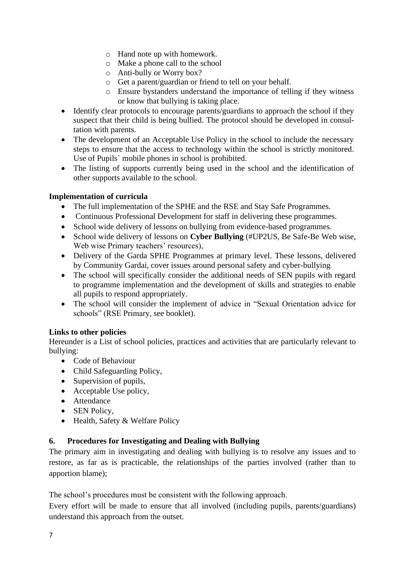- o Hand note up with homework.
- o Make a phone call to the school
- o Anti-bully or Worry box?
- o Get a parent/guardian or friend to tell on your behalf.
- o Ensure bystanders understand the importance of telling if they witness or know that bullying is taking place.
- Identify clear protocols to encourage parents/guardians to approach the school if they suspect that their child is being bullied. The protocol should be developed in consultation with parents.
- The development of an Acceptable Use Policy in the school to include the necessary steps to ensure that the access to technology within the school is strictly monitored. Use of Pupils` mobile phones in school is prohibited.
- The listing of supports currently being used in the school and the identification of other supports available to the school.

### **Implementation of curricula**

- The full implementation of the SPHE and the RSE and Stay Safe Programmes.
- Continuous Professional Development for staff in delivering these programmes.
- School wide delivery of lessons on bullying from evidence-based programmes.
- School wide delivery of lessons on **Cyber Bullying** (#UP2US, Be Safe-Be Web wise, Web wise Primary teachers' resources),
- Delivery of the Garda SPHE Programmes at primary level. These lessons, delivered by Community Gardai, cover issues around personal safety and cyber-bullying
- The school will specifically consider the additional needs of SEN pupils with regard to programme implementation and the development of skills and strategies to enable all pupils to respond appropriately.
- The school will consider the implement of advice in "Sexual Orientation advice for schools" (RSE Primary, see booklet).

#### **Links to other policies**

Hereunder is a List of school policies, practices and activities that are particularly relevant to bullying:

- Code of Behaviour
- Child Safeguarding Policy,
- Supervision of pupils,
- Acceptable Use policy,
- Attendance
- SEN Policy.
- Health, Safety & Welfare Policy

# **6. Procedures for Investigating and Dealing with Bullying**

The primary aim in investigating and dealing with bullying is to resolve any issues and to restore, as far as is practicable, the relationships of the parties involved (rather than to apportion blame);

The school's procedures must be consistent with the following approach.

Every effort will be made to ensure that all involved (including pupils, parents/guardians) understand this approach from the outset.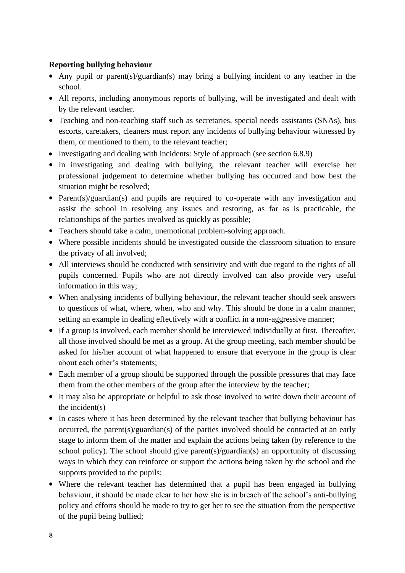#### **Reporting bullying behaviour**

- Any pupil or parent(s)/guardian(s) may bring a bullying incident to any teacher in the school.
- All reports, including anonymous reports of bullying, will be investigated and dealt with by the relevant teacher.
- Teaching and non-teaching staff such as secretaries, special needs assistants (SNAs), bus escorts, caretakers, cleaners must report any incidents of bullying behaviour witnessed by them, or mentioned to them, to the relevant teacher;
- Investigating and dealing with incidents: Style of approach (see section 6.8.9)
- In investigating and dealing with bullying, the relevant teacher will exercise her professional judgement to determine whether bullying has occurred and how best the situation might be resolved;
- Parent(s)/guardian(s) and pupils are required to co-operate with any investigation and assist the school in resolving any issues and restoring, as far as is practicable, the relationships of the parties involved as quickly as possible;
- Teachers should take a calm, unemotional problem-solving approach.
- Where possible incidents should be investigated outside the classroom situation to ensure the privacy of all involved;
- All interviews should be conducted with sensitivity and with due regard to the rights of all pupils concerned. Pupils who are not directly involved can also provide very useful information in this way;
- When analysing incidents of bullying behaviour, the relevant teacher should seek answers to questions of what, where, when, who and why. This should be done in a calm manner, setting an example in dealing effectively with a conflict in a non-aggressive manner;
- If a group is involved, each member should be interviewed individually at first. Thereafter, all those involved should be met as a group. At the group meeting, each member should be asked for his/her account of what happened to ensure that everyone in the group is clear about each other's statements;
- Each member of a group should be supported through the possible pressures that may face them from the other members of the group after the interview by the teacher;
- It may also be appropriate or helpful to ask those involved to write down their account of the incident(s)
- In cases where it has been determined by the relevant teacher that bullying behaviour has occurred, the parent(s)/guardian(s) of the parties involved should be contacted at an early stage to inform them of the matter and explain the actions being taken (by reference to the school policy). The school should give parent(s)/guardian(s) an opportunity of discussing ways in which they can reinforce or support the actions being taken by the school and the supports provided to the pupils;
- Where the relevant teacher has determined that a pupil has been engaged in bullying behaviour, it should be made clear to her how she is in breach of the school's anti-bullying policy and efforts should be made to try to get her to see the situation from the perspective of the pupil being bullied;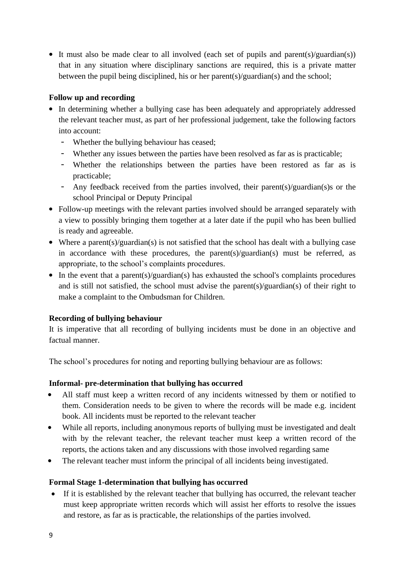• It must also be made clear to all involved (each set of pupils and parent(s)/guardian(s)) that in any situation where disciplinary sanctions are required, this is a private matter between the pupil being disciplined, his or her parent(s)/guardian(s) and the school;

### **Follow up and recording**

- In determining whether a bullying case has been adequately and appropriately addressed the relevant teacher must, as part of her professional judgement, take the following factors into account:
	- Whether the bullying behaviour has ceased;
	- Whether any issues between the parties have been resolved as far as is practicable;
	- Whether the relationships between the parties have been restored as far as is practicable;
	- Any feedback received from the parties involved, their parent(s)/guardian(s)s or the school Principal or Deputy Principal
- Follow-up meetings with the relevant parties involved should be arranged separately with a view to possibly bringing them together at a later date if the pupil who has been bullied is ready and agreeable.
- Where a parent(s)/guardian(s) is not satisfied that the school has dealt with a bullying case in accordance with these procedures, the parent(s)/guardian(s) must be referred, as appropriate, to the school's complaints procedures.
- In the event that a parent(s)/guardian(s) has exhausted the school's complaints procedures and is still not satisfied, the school must advise the parent(s)/guardian(s) of their right to make a complaint to the Ombudsman for Children.

#### **Recording of bullying behaviour**

It is imperative that all recording of bullying incidents must be done in an objective and factual manner.

The school's procedures for noting and reporting bullying behaviour are as follows:

#### **Informal- pre-determination that bullying has occurred**

- All staff must keep a written record of any incidents witnessed by them or notified to them. Consideration needs to be given to where the records will be made e.g. incident book. All incidents must be reported to the relevant teacher
- While all reports, including anonymous reports of bullying must be investigated and dealt with by the relevant teacher, the relevant teacher must keep a written record of the reports, the actions taken and any discussions with those involved regarding same
- The relevant teacher must inform the principal of all incidents being investigated.

#### **Formal Stage 1-determination that bullying has occurred**

• If it is established by the relevant teacher that bullying has occurred, the relevant teacher must keep appropriate written records which will assist her efforts to resolve the issues and restore, as far as is practicable, the relationships of the parties involved.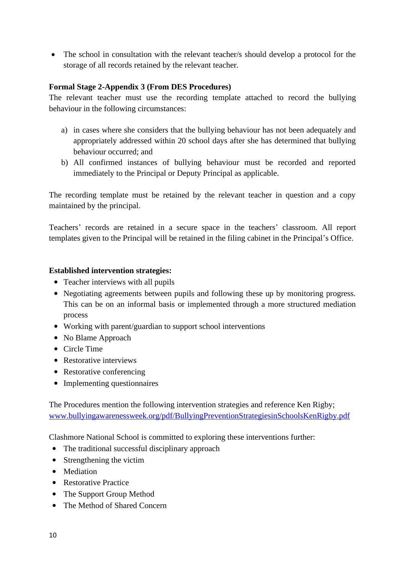• The school in consultation with the relevant teacher/s should develop a protocol for the storage of all records retained by the relevant teacher.

#### **Formal Stage 2-Appendix 3 (From DES Procedures)**

The relevant teacher must use the recording template attached to record the bullying behaviour in the following circumstances:

- a) in cases where she considers that the bullying behaviour has not been adequately and appropriately addressed within 20 school days after she has determined that bullying behaviour occurred; and
- b) All confirmed instances of bullying behaviour must be recorded and reported immediately to the Principal or Deputy Principal as applicable.

The recording template must be retained by the relevant teacher in question and a copy maintained by the principal.

Teachers' records are retained in a secure space in the teachers' classroom. All report templates given to the Principal will be retained in the filing cabinet in the Principal's Office.

#### **Established intervention strategies:**

- Teacher interviews with all pupils
- Negotiating agreements between pupils and following these up by monitoring progress. This can be on an informal basis or implemented through a more structured mediation process
- Working with parent/guardian to support school interventions
- No Blame Approach
- Circle Time
- Restorative interviews
- Restorative conferencing
- Implementing questionnaires

The Procedures mention the following intervention strategies and reference Ken Rigby; [www.bullyingawarenessweek.org/pdf/BullyingPreventionStrategiesinSchoolsKenRigby.pdf](http://www.bullyingawarenessweek.org/pdf/BullyingPreventionStrategiesinSchoolsKenRigby.pdf)

Clashmore National School is committed to exploring these interventions further:

- The traditional successful disciplinary approach
- Strengthening the victim
- Mediation
- Restorative Practice
- The Support Group Method
- The Method of Shared Concern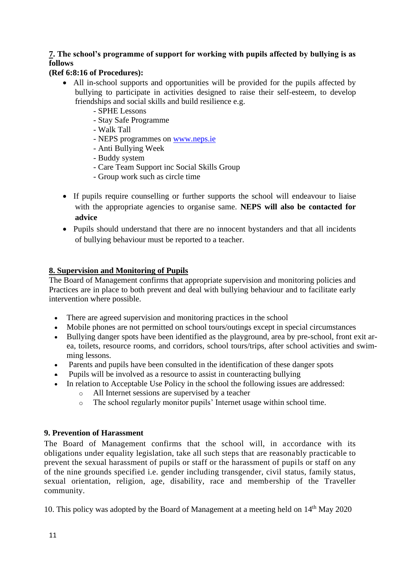# **7. The school's programme of support for working with pupils affected by bullying is as follows**

### **(Ref 6:8:16 of Procedures):**

- All in-school supports and opportunities will be provided for the pupils affected by bullying to participate in activities designed to raise their self-esteem, to develop friendships and social skills and build resilience e.g.
	- SPHE Lessons
	- Stay Safe Programme
	- Walk Tall
	- NEPS programmes on [www.neps.ie](http://www.neps.ie/)
	- Anti Bullying Week
	- Buddy system
	- Care Team Support inc Social Skills Group
	- Group work such as circle time
- If pupils require counselling or further supports the school will endeavour to liaise with the appropriate agencies to organise same. **NEPS will also be contacted for advice**
- Pupils should understand that there are no innocent bystanders and that all incidents of bullying behaviour must be reported to a teacher.

### **8. Supervision and Monitoring of Pupils**

The Board of Management confirms that appropriate supervision and monitoring policies and Practices are in place to both prevent and deal with bullying behaviour and to facilitate early intervention where possible.

- There are agreed supervision and monitoring practices in the school
- Mobile phones are not permitted on school tours/outings except in special circumstances
- Bullying danger spots have been identified as the playground, area by pre-school, front exit area, toilets, resource rooms, and corridors, school tours/trips, after school activities and swimming lessons.
- Parents and pupils have been consulted in the identification of these danger spots
- Pupils will be involved as a resource to assist in counteracting bullying
- In relation to Acceptable Use Policy in the school the following issues are addressed:
	- o All Internet sessions are supervised by a teacher
	- o The school regularly monitor pupils' Internet usage within school time.

#### **9. Prevention of Harassment**

The Board of Management confirms that the school will, in accordance with its obligations under equality legislation, take all such steps that are reasonably practicable to prevent the sexual harassment of pupils or staff or the harassment of pupils or staff on any of the nine grounds specified i.e. gender including transgender, civil status, family status, sexual orientation, religion, age, disability, race and membership of the Traveller community.

10. This policy was adopted by the Board of Management at a meeting held on 14<sup>th</sup> May 2020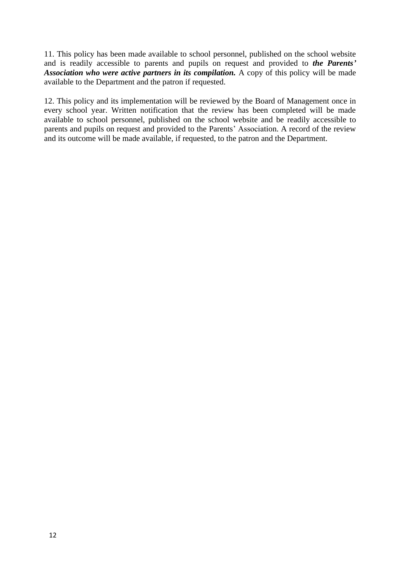11. This policy has been made available to school personnel, published on the school website and is readily accessible to parents and pupils on request and provided to *the Parents' Association who were active partners in its compilation.* A copy of this policy will be made available to the Department and the patron if requested.

12. This policy and its implementation will be reviewed by the Board of Management once in every school year. Written notification that the review has been completed will be made available to school personnel, published on the school website and be readily accessible to parents and pupils on request and provided to the Parents' Association. A record of the review and its outcome will be made available, if requested, to the patron and the Department.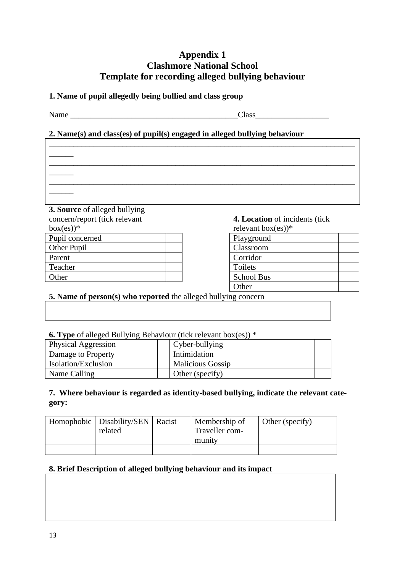# **Appendix 1 Clashmore National School Template for recording alleged bullying behaviour**

\_\_\_\_\_\_\_\_\_\_\_\_\_\_\_\_\_\_\_\_\_\_\_\_\_\_\_\_\_\_\_\_\_\_\_\_\_\_\_\_\_\_\_\_\_\_\_\_\_\_\_\_\_\_\_\_\_\_\_\_\_\_\_\_\_\_\_\_\_\_\_\_\_\_\_

\_\_\_\_\_\_\_\_\_\_\_\_\_\_\_\_\_\_\_\_\_\_\_\_\_\_\_\_\_\_\_\_\_\_\_\_\_\_\_\_\_\_\_\_\_\_\_\_\_\_\_\_\_\_\_\_\_\_\_\_\_\_\_\_\_\_\_\_\_\_\_\_\_\_\_

\_\_\_\_\_\_\_\_\_\_\_\_\_\_\_\_\_\_\_\_\_\_\_\_\_\_\_\_\_\_\_\_\_\_\_\_\_\_\_\_\_\_\_\_\_\_\_\_\_\_\_\_\_\_\_\_\_\_\_\_\_\_\_\_\_\_\_\_\_\_\_\_\_\_\_

### **1. Name of pupil allegedly being bullied and class group**

Name \_\_\_\_\_\_\_\_\_\_\_\_\_\_\_\_\_\_\_\_\_\_\_\_\_\_\_\_\_\_\_\_\_\_\_\_\_\_\_\_\_Class\_\_\_\_\_\_\_\_\_\_\_\_\_\_\_\_\_\_

 $\overline{\phantom{a}}$ 

 $\overline{\phantom{a}}$ 

 $\overline{\phantom{a}}$ 

# **2. Name(s) and class(es) of pupil(s) engaged in alleged bullying behaviour**

**3. Source** of alleged bullying concern/report (tick relevant  $box(es)$ <sup>\*</sup>

| Pupil concerned | Playground |
|-----------------|------------|
| Other Pupil     | Classroom  |
| Parent          | Corridor   |
| Teacher         | Toilets    |
| Other           | School Bus |

**4. Location** of incidents (tick relevant box(es))\*

| $100 \times 100 \times 100$ |  |
|-----------------------------|--|
| Playground                  |  |
| Classroom                   |  |
| Corridor                    |  |
| Toilets                     |  |
| <b>School Bus</b>           |  |
| Other                       |  |

# **5. Name of person(s) who reported** the alleged bullying concern

**6. Type** of alleged Bullying Behaviour (tick relevant box(es)) \*

| Physical Aggression        | Cyber-bullying          |  |
|----------------------------|-------------------------|--|
| Damage to Property         | Intimidation            |  |
| <b>Isolation/Exclusion</b> | <b>Malicious Gossip</b> |  |
| Name Calling               | Other (specify)         |  |

### **7. Where behaviour is regarded as identity-based bullying, indicate the relevant category:**

| Homophobic   Disability/SEN  <br>related | Racist | Membership of<br>Traveller com- | Other (specify) |
|------------------------------------------|--------|---------------------------------|-----------------|
|                                          |        | munity                          |                 |
|                                          |        |                                 |                 |

#### **8. Brief Description of alleged bullying behaviour and its impact**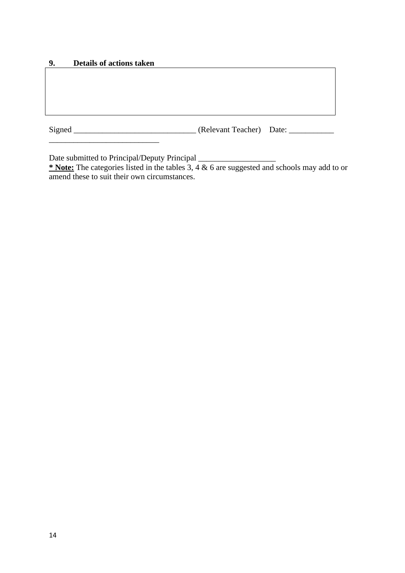#### **9. Details of actions taken**

\_\_\_\_\_\_\_\_\_\_\_\_\_\_\_\_\_\_\_\_\_\_\_\_\_\_\_

Signed \_\_\_\_\_\_\_\_\_\_\_\_\_\_\_\_\_\_\_\_\_\_\_\_\_\_\_\_\_\_ (Relevant Teacher) Date: \_\_\_\_\_\_\_\_\_\_\_

Date submitted to Principal/Deputy Principal \_\_\_\_\_\_\_\_\_\_\_\_\_\_\_\_\_\_\_

**\* Note:** The categories listed in the tables 3, 4 & 6 are suggested and schools may add to or amend these to suit their own circumstances.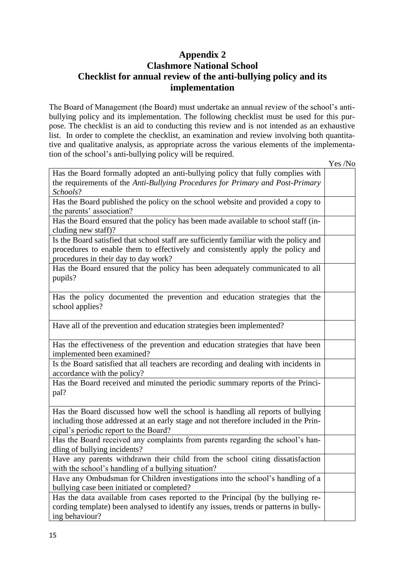# **Appendix 2 Clashmore National School Checklist for annual review of the anti-bullying policy and its implementation**

The Board of Management (the Board) must undertake an annual review of the school's antibullying policy and its implementation. The following checklist must be used for this purpose. The checklist is an aid to conducting this review and is not intended as an exhaustive list. In order to complete the checklist, an examination and review involving both quantitative and qualitative analysis, as appropriate across the various elements of the implementation of the school's anti-bullying policy will be required.

Yes /No

| Has the Board formally adopted an anti-bullying policy that fully complies with<br>the requirements of the Anti-Bullying Procedures for Primary and Post-Primary |  |
|------------------------------------------------------------------------------------------------------------------------------------------------------------------|--|
| Schools?                                                                                                                                                         |  |
| Has the Board published the policy on the school website and provided a copy to                                                                                  |  |
| the parents' association?                                                                                                                                        |  |
| Has the Board ensured that the policy has been made available to school staff (in-                                                                               |  |
| cluding new staff)?                                                                                                                                              |  |
| Is the Board satisfied that school staff are sufficiently familiar with the policy and                                                                           |  |
| procedures to enable them to effectively and consistently apply the policy and                                                                                   |  |
| procedures in their day to day work?                                                                                                                             |  |
| Has the Board ensured that the policy has been adequately communicated to all                                                                                    |  |
| pupils?                                                                                                                                                          |  |
|                                                                                                                                                                  |  |
| Has the policy documented the prevention and education strategies that the                                                                                       |  |
| school applies?                                                                                                                                                  |  |
|                                                                                                                                                                  |  |
| Have all of the prevention and education strategies been implemented?                                                                                            |  |
|                                                                                                                                                                  |  |
| Has the effectiveness of the prevention and education strategies that have been                                                                                  |  |
| implemented been examined?                                                                                                                                       |  |
| Is the Board satisfied that all teachers are recording and dealing with incidents in                                                                             |  |
| accordance with the policy?                                                                                                                                      |  |
| Has the Board received and minuted the periodic summary reports of the Princi-                                                                                   |  |
| pal?                                                                                                                                                             |  |
|                                                                                                                                                                  |  |
| Has the Board discussed how well the school is handling all reports of bullying                                                                                  |  |
| including those addressed at an early stage and not therefore included in the Prin-                                                                              |  |
| cipal's periodic report to the Board?                                                                                                                            |  |
| Has the Board received any complaints from parents regarding the school's han-                                                                                   |  |
| dling of bullying incidents?                                                                                                                                     |  |
| Have any parents withdrawn their child from the school citing dissatisfaction                                                                                    |  |
| with the school's handling of a bullying situation?                                                                                                              |  |
| Have any Ombudsman for Children investigations into the school's handling of a                                                                                   |  |
| bullying case been initiated or completed?                                                                                                                       |  |
| Has the data available from cases reported to the Principal (by the bullying re-                                                                                 |  |
| cording template) been analysed to identify any issues, trends or patterns in bully-                                                                             |  |
| ing behaviour?                                                                                                                                                   |  |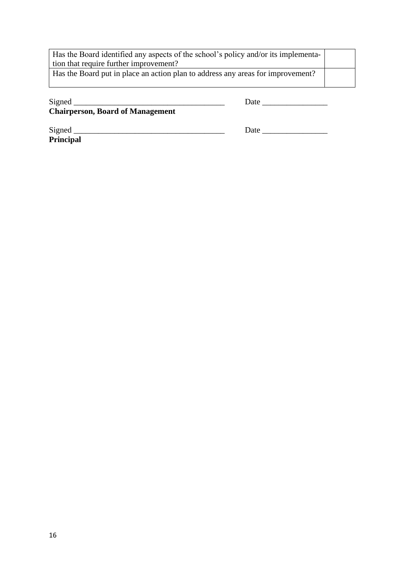| Has the Board identified any aspects of the school's policy and/or its implementa- |  |
|------------------------------------------------------------------------------------|--|
| tion that require further improvement?                                             |  |
| Has the Board put in place an action plan to address any areas for improvement?    |  |
|                                                                                    |  |

Signed \_\_\_\_\_\_\_\_\_\_\_\_\_\_\_\_\_\_\_\_\_\_\_\_\_\_\_\_\_\_\_\_\_\_\_\_\_ Date \_\_\_\_\_\_\_\_\_\_\_\_\_\_\_\_

**Chairperson, Board of Management**

Signed \_\_\_\_\_\_\_\_\_\_\_\_\_\_\_\_\_\_\_\_\_\_\_\_\_\_\_\_\_\_\_\_\_\_\_\_\_ Date \_\_\_\_\_\_\_\_\_\_\_\_\_\_\_\_

**Principal**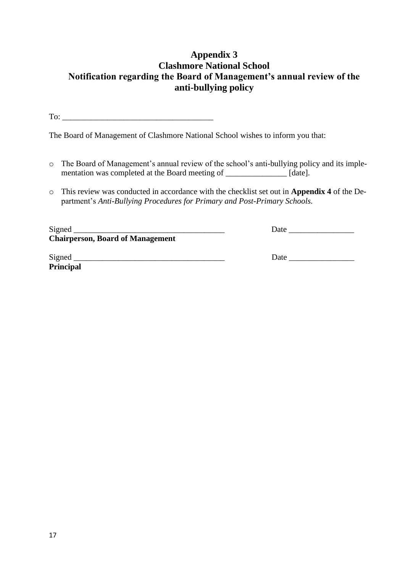# **Appendix 3 Clashmore National School Notification regarding the Board of Management's annual review of the anti-bullying policy**

To:  $\qquad \qquad \qquad$ 

The Board of Management of Clashmore National School wishes to inform you that:

- o The Board of Management's annual review of the school's anti-bullying policy and its implementation was completed at the Board meeting of \_\_\_\_\_\_\_\_\_\_\_\_\_\_ [date].
- o This review was conducted in accordance with the checklist set out in **Appendix 4** of the Department's *Anti-Bullying Procedures for Primary and Post-Primary Schools.*

| Signed                                  | Date |
|-----------------------------------------|------|
| <b>Chairperson, Board of Management</b> |      |
|                                         |      |
| Signed                                  | Date |
| <b>Principal</b>                        |      |